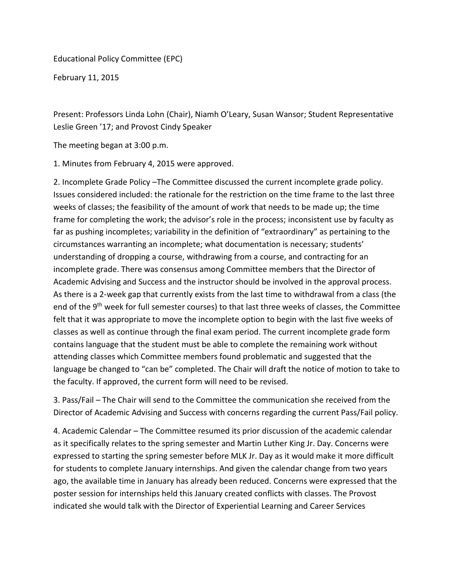Educational Policy Committee (EPC)

February 11, 2015

Present: Professors Linda Lohn (Chair), Niamh O'Leary, Susan Wansor; Student Representative Leslie Green '17; and Provost Cindy Speaker

The meeting began at 3:00 p.m.

1. Minutes from February 4, 2015 were approved.

2. Incomplete Grade Policy –The Committee discussed the current incomplete grade policy. Issues considered included: the rationale for the restriction on the time frame to the last three weeks of classes; the feasibility of the amount of work that needs to be made up; the time frame for completing the work; the advisor's role in the process; inconsistent use by faculty as far as pushing incompletes; variability in the definition of "extraordinary" as pertaining to the circumstances warranting an incomplete; what documentation is necessary; students' understanding of dropping a course, withdrawing from a course, and contracting for an incomplete grade. There was consensus among Committee members that the Director of Academic Advising and Success and the instructor should be involved in the approval process. As there is a 2-week gap that currently exists from the last time to withdrawal from a class (the end of the 9<sup>th</sup> week for full semester courses) to that last three weeks of classes, the Committee felt that it was appropriate to move the incomplete option to begin with the last five weeks of classes as well as continue through the final exam period. The current incomplete grade form contains language that the student must be able to complete the remaining work without attending classes which Committee members found problematic and suggested that the language be changed to "can be" completed. The Chair will draft the notice of motion to take to the faculty. If approved, the current form will need to be revised.

3. Pass/Fail – The Chair will send to the Committee the communication she received from the Director of Academic Advising and Success with concerns regarding the current Pass/Fail policy.

4. Academic Calendar – The Committee resumed its prior discussion of the academic calendar as it specifically relates to the spring semester and Martin Luther King Jr. Day. Concerns were expressed to starting the spring semester before MLK Jr. Day as it would make it more difficult for students to complete January internships. And given the calendar change from two years ago, the available time in January has already been reduced. Concerns were expressed that the poster session for internships held this January created conflicts with classes. The Provost indicated she would talk with the Director of Experiential Learning and Career Services